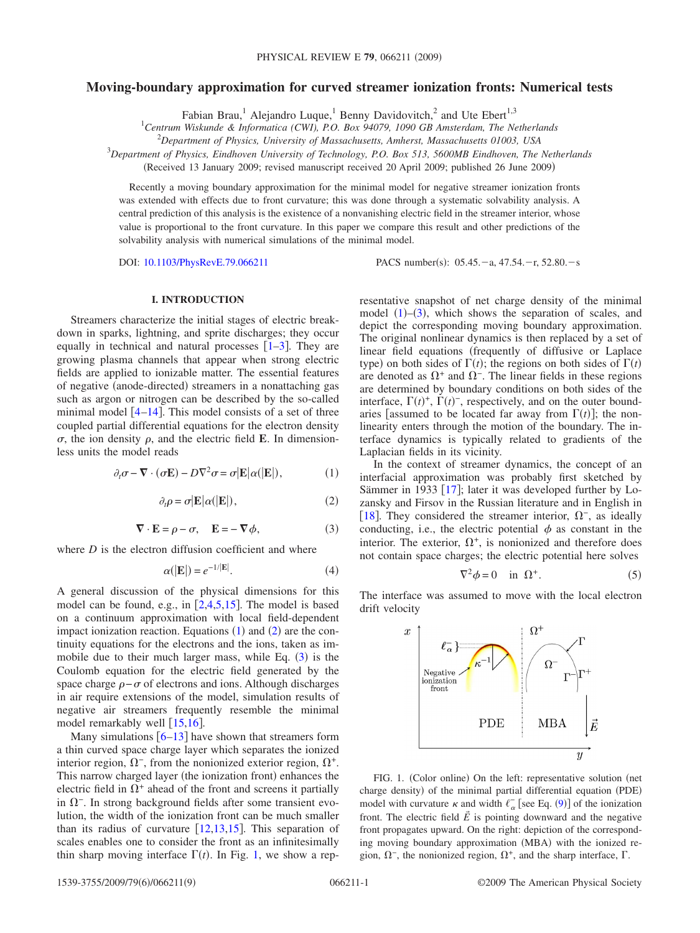# **Moving-boundary approximation for curved streamer ionization fronts: Numerical tests**

Fabian Brau,<sup>1</sup> Alejandro Luque,<sup>1</sup> Benny Davidovitch,<sup>2</sup> and Ute Ebert<sup>1,3</sup>

1 *Centrum Wiskunde & Informatica (CWI), P.O. Box 94079, 1090 GB Amsterdam, The Netherlands*

2 *Department of Physics, University of Massachusetts, Amherst, Massachusetts 01003, USA*

3 *Department of Physics, Eindhoven University of Technology, P.O. Box 513, 5600MB Eindhoven, The Netherlands*

Received 13 January 2009; revised manuscript received 20 April 2009; published 26 June 2009-

Recently a moving boundary approximation for the minimal model for negative streamer ionization fronts was extended with effects due to front curvature; this was done through a systematic solvability analysis. A central prediction of this analysis is the existence of a nonvanishing electric field in the streamer interior, whose value is proportional to the front curvature. In this paper we compare this result and other predictions of the solvability analysis with numerical simulations of the minimal model.

DOI: [10.1103/PhysRevE.79.066211](http://dx.doi.org/10.1103/PhysRevE.79.066211)

PACS number(s):  $05.45.-a$ ,  $47.54.-r$ ,  $52.80.-s$ 

### **I. INTRODUCTION**

<span id="page-0-5"></span>Streamers characterize the initial stages of electric breakdown in sparks, lightning, and sprite discharges; they occur equally in technical and natural processes  $\lceil 1-3 \rceil$  $\lceil 1-3 \rceil$  $\lceil 1-3 \rceil$ . They are growing plasma channels that appear when strong electric fields are applied to ionizable matter. The essential features of negative (anode-directed) streamers in a nonattaching gas such as argon or nitrogen can be described by the so-called minimal model  $\lceil 4-14 \rceil$  $\lceil 4-14 \rceil$  $\lceil 4-14 \rceil$ . This model consists of a set of three coupled partial differential equations for the electron density  $\sigma$ , the ion density  $\rho$ , and the electric field **E**. In dimensionless units the model reads

<span id="page-0-0"></span>
$$
\partial_t \sigma - \nabla \cdot (\sigma \mathbf{E}) - D \nabla^2 \sigma = \sigma |\mathbf{E}| \alpha (|\mathbf{E}|), \tag{1}
$$

$$
\partial_t \rho = \sigma | \mathbf{E} | \alpha (|\mathbf{E}|), \tag{2}
$$

$$
\nabla \cdot \mathbf{E} = \rho - \sigma, \quad \mathbf{E} = -\nabla \phi,\tag{3}
$$

<span id="page-0-2"></span><span id="page-0-1"></span>where *D* is the electron diffusion coefficient and where

$$
\alpha(|\mathbf{E}|) = e^{-1/|\mathbf{E}|}.\tag{4}
$$

A general discussion of the physical dimensions for this model can be found, e.g., in  $[2,4,5,15]$  $[2,4,5,15]$  $[2,4,5,15]$  $[2,4,5,15]$  $[2,4,5,15]$  $[2,4,5,15]$ . The model is based on a continuum approximation with local field-dependent impact ionization reaction. Equations  $(1)$  $(1)$  $(1)$  and  $(2)$  $(2)$  $(2)$  are the continuity equations for the electrons and the ions, taken as immobile due to their much larger mass, while Eq.  $(3)$  $(3)$  $(3)$  is the Coulomb equation for the electric field generated by the space charge  $\rho-\sigma$  of electrons and ions. Although discharges in air require extensions of the model, simulation results of negative air streamers frequently resemble the minimal model remarkably well  $[15,16]$  $[15,16]$  $[15,16]$  $[15,16]$ .

Many simulations  $\lceil 6-13 \rceil$  $\lceil 6-13 \rceil$  $\lceil 6-13 \rceil$  have shown that streamers form a thin curved space charge layer which separates the ionized interior region,  $\Omega^-$ , from the nonionized exterior region,  $\Omega^+$ . This narrow charged layer (the ionization front) enhances the electric field in  $\Omega^+$  ahead of the front and screens it partially in  $\Omega$ <sup>-</sup>. In strong background fields after some transient evolution, the width of the ionization front can be much smaller than its radius of curvature  $[12,13,15]$  $[12,13,15]$  $[12,13,15]$  $[12,13,15]$  $[12,13,15]$ . This separation of scales enables one to consider the front as an infinitesimally thin sharp moving interface  $\Gamma(t)$ . In Fig. [1,](#page-0-3) we show a representative snapshot of net charge density of the minimal model  $(1)$  $(1)$  $(1)$ – $(3)$  $(3)$  $(3)$ , which shows the separation of scales, and depict the corresponding moving boundary approximation. The original nonlinear dynamics is then replaced by a set of linear field equations (frequently of diffusive or Laplace type) on both sides of  $\Gamma(t)$ ; the regions on both sides of  $\Gamma(t)$ are denoted as  $\Omega^+$  and  $\Omega^-$ . The linear fields in these regions are determined by boundary conditions on both sides of the interface,  $\Gamma(t)^+$ ,  $\Gamma(t)^-$ , respectively, and on the outer boundaries [assumed to be located far away from  $\Gamma(t)$ ]; the nonlinearity enters through the motion of the boundary. The interface dynamics is typically related to gradients of the Laplacian fields in its vicinity.

In the context of streamer dynamics, the concept of an interfacial approximation was probably first sketched by Sämmer in 1933 [[17](#page-7-11)]; later it was developed further by Lozansky and Firsov in the Russian literature and in English in [[18](#page-7-12)]. They considered the streamer interior,  $\Omega^-$ , as ideally conducting, i.e., the electric potential  $\phi$  as constant in the interior. The exterior,  $\Omega^+$ , is nonionized and therefore does not contain space charges; the electric potential here solves

$$
\nabla^2 \phi = 0 \quad \text{in } \Omega^+.
$$
 (5)

<span id="page-0-4"></span>The interface was assumed to move with the local electron drift velocity

<span id="page-0-3"></span>

FIG. 1. (Color online) On the left: representative solution (net charge density) of the minimal partial differential equation (PDE) model with curvature  $\kappa$  and width  $\ell_{\alpha}^{-}$  [see Eq. ([9](#page-1-0))] of the ionization front. The electric field  $\vec{E}$  is pointing downward and the negative front propagates upward. On the right: depiction of the corresponding moving boundary approximation (MBA) with the ionized region,  $\Omega^-$ , the nonionized region,  $\Omega^+$ , and the sharp interface,  $\Gamma$ .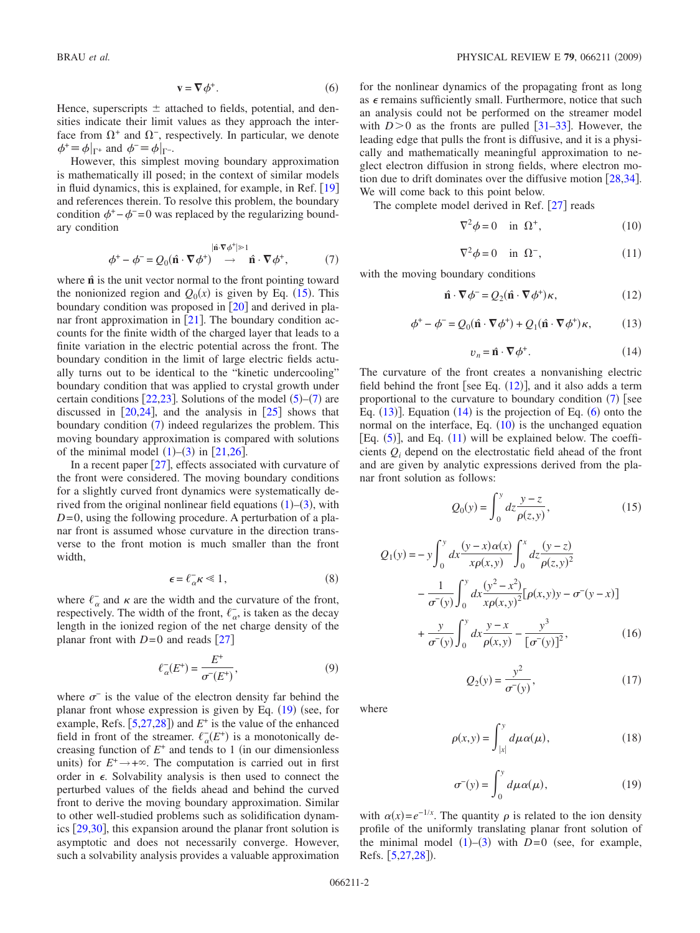$$
\mathbf{v} = \nabla \phi^+.
$$
 (6)

<span id="page-1-7"></span>Hence, superscripts  $\pm$  attached to fields, potential, and densities indicate their limit values as they approach the interface from  $\Omega^+$  and  $\Omega^-$ , respectively. In particular, we denote  $\phi^+ \equiv \phi|_{\Gamma^+}$  and  $\phi^- \equiv \phi|_{\Gamma^-}.$ 

However, this simplest moving boundary approximation is mathematically ill posed; in the context of similar models in fluid dynamics, this is explained, for example, in Ref.  $[19]$  $[19]$  $[19]$ and references therein. To resolve this problem, the boundary condition  $\phi^+$  –  $\phi^-$  =0 was replaced by the regularizing boundary condition

$$
\phi^+ - \phi^- = Q_0(\hat{\mathbf{n}} \cdot \nabla \phi^+) \rightarrow \hat{\mathbf{n}} \cdot \nabla \phi^+, \tag{7}
$$

<span id="page-1-2"></span>where  $\hat{\bf{n}}$  is the unit vector normal to the front pointing toward the nonionized region and  $Q_0(x)$  is given by Eq. ([15](#page-1-1)). This boundary condition was proposed in  $\lceil 20 \rceil$  $\lceil 20 \rceil$  $\lceil 20 \rceil$  and derived in planar front approximation in  $[21]$  $[21]$  $[21]$ . The boundary condition accounts for the finite width of the charged layer that leads to a finite variation in the electric potential across the front. The boundary condition in the limit of large electric fields actually turns out to be identical to the "kinetic undercooling" boundary condition that was applied to crystal growth under certain conditions  $[22,23]$  $[22,23]$  $[22,23]$  $[22,23]$ . Solutions of the model  $(5)-(7)$  $(5)-(7)$  $(5)-(7)$  $(5)-(7)$  $(5)-(7)$  are discussed in  $\lceil 20,24 \rceil$  $\lceil 20,24 \rceil$  $\lceil 20,24 \rceil$  $\lceil 20,24 \rceil$ , and the analysis in  $\lceil 25 \rceil$  $\lceil 25 \rceil$  $\lceil 25 \rceil$  shows that boundary condition ([7](#page-1-2)) indeed regularizes the problem. This moving boundary approximation is compared with solutions of the minimal model  $(1)$  $(1)$  $(1)$ – $(3)$  $(3)$  $(3)$  in [[21](#page-7-15)[,26](#page-8-4)].

In a recent paper  $[27]$  $[27]$  $[27]$ , effects associated with curvature of the front were considered. The moving boundary conditions for a slightly curved front dynamics were systematically derived from the original nonlinear field equations  $(1)$  $(1)$  $(1)$ – $(3)$  $(3)$  $(3)$ , with  $D=0$ , using the following procedure. A perturbation of a planar front is assumed whose curvature in the direction transverse to the front motion is much smaller than the front width,

$$
\epsilon = \ell_{\alpha}^- \kappa \ll 1, \tag{8}
$$

<span id="page-1-10"></span>where  $\ell_{\alpha}^-$  and  $\kappa$  are the width and the curvature of the front, respectively. The width of the front,  $\ell_{\alpha}^-$ , is taken as the decay length in the ionized region of the net charge density of the planar front with  $D=0$  and reads [[27](#page-8-5)]

$$
\ell_{\alpha}^{-}(E^{+}) = \frac{E^{+}}{\sigma^{-}(E^{+})},\tag{9}
$$

<span id="page-1-0"></span>where  $\sigma^-$  is the value of the electron density far behind the planar front whose expression is given by Eq. ([19](#page-1-3)) (see, for example, Refs.  $[5,27,28]$  $[5,27,28]$  $[5,27,28]$  $[5,27,28]$  $[5,27,28]$  and  $E^+$  is the value of the enhanced field in front of the streamer.  $\ell_{\alpha}(E^+)$  is a monotonically decreasing function of  $E^+$  and tends to 1 (in our dimensionless units) for  $E^+ \rightarrow +\infty$ . The computation is carried out in first order in  $\epsilon$ . Solvability analysis is then used to connect the perturbed values of the fields ahead and behind the curved front to derive the moving boundary approximation. Similar to other well-studied problems such as solidification dynamics  $[29,30]$  $[29,30]$  $[29,30]$  $[29,30]$ , this expansion around the planar front solution is asymptotic and does not necessarily converge. However, such a solvability analysis provides a valuable approximation for the nonlinear dynamics of the propagating front as long as  $\epsilon$  remains sufficiently small. Furthermore, notice that such an analysis could not be performed on the streamer model with  $D>0$  as the fronts are pulled [[31](#page-8-9)[–33](#page-8-10)]. However, the leading edge that pulls the front is diffusive, and it is a physically and mathematically meaningful approximation to neglect electron diffusion in strong fields, where electron motion due to drift dominates over the diffusive motion  $[28,34]$  $[28,34]$  $[28,34]$  $[28,34]$ . We will come back to this point below.

The complete model derived in Ref.  $[27]$  $[27]$  $[27]$  reads

$$
\nabla^2 \phi = 0 \quad \text{in } \Omega^+, \tag{10}
$$

$$
\nabla^2 \phi = 0 \quad \text{in } \Omega^-, \tag{11}
$$

<span id="page-1-9"></span><span id="page-1-8"></span><span id="page-1-4"></span>with the moving boundary conditions

$$
\hat{\mathbf{n}} \cdot \nabla \phi^- = Q_2(\hat{\mathbf{n}} \cdot \nabla \phi^+) \kappa, \tag{12}
$$

$$
\phi^+ - \phi^- = Q_0(\hat{\mathbf{n}} \cdot \nabla \phi^+) + Q_1(\hat{\mathbf{n}} \cdot \nabla \phi^+) \kappa, \tag{13}
$$

$$
v_n = \hat{\mathbf{n}} \cdot \nabla \phi^+.
$$
 (14)

<span id="page-1-6"></span><span id="page-1-5"></span>The curvature of the front creates a nonvanishing electric field behind the front [see Eq.  $(12)$  $(12)$  $(12)$ ], and it also adds a term proportional to the curvature to boundary condition  $(7)$  $(7)$  $(7)$  [see Eq.  $(13)$  $(13)$  $(13)$ ]. Equation  $(14)$  $(14)$  $(14)$  is the projection of Eq.  $(6)$  $(6)$  $(6)$  onto the normal on the interface, Eq.  $(10)$  $(10)$  $(10)$  is the unchanged equation [Eq.  $(5)$  $(5)$  $(5)$ ], and Eq.  $(11)$  $(11)$  $(11)$  will be explained below. The coefficients *Qi* depend on the electrostatic field ahead of the front and are given by analytic expressions derived from the planar front solution as follows:

$$
Q_0(y) = \int_0^y dz \frac{y - z}{\rho(z, y)},
$$
\n(15)

<span id="page-1-1"></span>
$$
Q_1(y) = -y \int_0^y dx \frac{(y-x)\alpha(x)}{x\rho(x,y)} \int_0^x dz \frac{(y-z)}{\rho(z,y)^2} - \frac{1}{\sigma^-(y)} \int_0^y dx \frac{(y^2 - x^2)}{x\rho(x,y)^2} [\rho(x,y)y - \sigma^-(y-x)] + \frac{y}{\sigma^-(y)} \int_0^y dx \frac{y-x}{\rho(x,y)} - \frac{y^3}{[\sigma^-(y)]^2},
$$
(16)

$$
Q_2(y) = \frac{y^2}{\sigma^-(y)},\tag{17}
$$

where

$$
\rho(x,y) = \int_{|x|}^{y} d\mu \alpha(\mu), \qquad (18)
$$

$$
\sigma^{-}(y) = \int_0^y d\mu \alpha(\mu), \qquad (19)
$$

<span id="page-1-3"></span>with  $\alpha(x) = e^{-1/x}$ . The quantity  $\rho$  is related to the ion density profile of the uniformly translating planar front solution of the minimal model  $(1)$  $(1)$  $(1)$ – $(3)$  $(3)$  $(3)$  with *D*=0 (see, for example, Refs. [[5](#page-7-5)[,27](#page-8-5)[,28](#page-8-6)]).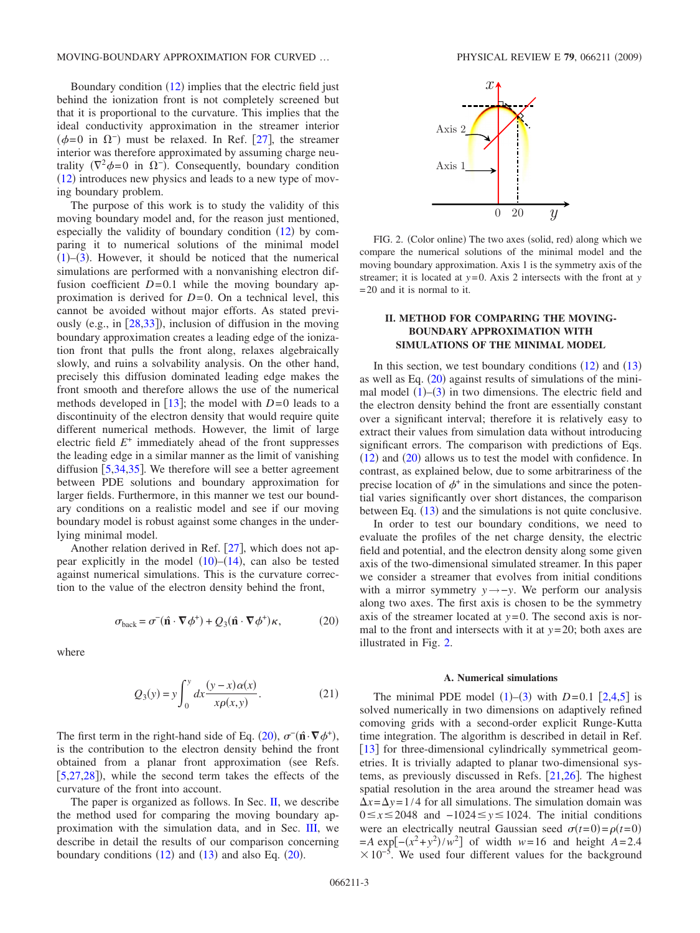Boundary condition  $(12)$  $(12)$  $(12)$  implies that the electric field just behind the ionization front is not completely screened but that it is proportional to the curvature. This implies that the ideal conductivity approximation in the streamer interior  $(\phi=0$  in  $\Omega^-$ ) must be relaxed. In Ref. [[27](#page-8-5)], the streamer interior was therefore approximated by assuming charge neutrality  $(\nabla^2 \phi = 0$  in  $\Omega^-)$ . Consequently, boundary condition  $(12)$  $(12)$  $(12)$  introduces new physics and leads to a new type of moving boundary problem.

The purpose of this work is to study the validity of this moving boundary model and, for the reason just mentioned, especially the validity of boundary condition  $(12)$  $(12)$  $(12)$  by comparing it to numerical solutions of the minimal model  $(1)$  $(1)$  $(1)$ – $(3)$  $(3)$  $(3)$ . However, it should be noticed that the numerical simulations are performed with a nonvanishing electron diffusion coefficient  $D=0.1$  while the moving boundary approximation is derived for  $D=0$ . On a technical level, this cannot be avoided without major efforts. As stated previously (e.g., in  $[28,33]$  $[28,33]$  $[28,33]$  $[28,33]$ ), inclusion of diffusion in the moving boundary approximation creates a leading edge of the ionization front that pulls the front along, relaxes algebraically slowly, and ruins a solvability analysis. On the other hand, precisely this diffusion dominated leading edge makes the front smooth and therefore allows the use of the numerical methods developed in  $\lceil 13 \rceil$  $\lceil 13 \rceil$  $\lceil 13 \rceil$ ; the model with  $D=0$  leads to a discontinuity of the electron density that would require quite different numerical methods. However, the limit of large electric field *E*<sup>+</sup> immediately ahead of the front suppresses the leading edge in a similar manner as the limit of vanishing diffusion  $[5,34,35]$  $[5,34,35]$  $[5,34,35]$  $[5,34,35]$  $[5,34,35]$ . We therefore will see a better agreement between PDE solutions and boundary approximation for larger fields. Furthermore, in this manner we test our boundary conditions on a realistic model and see if our moving boundary model is robust against some changes in the underlying minimal model.

Another relation derived in Ref.  $[27]$  $[27]$  $[27]$ , which does not appear explicitly in the model  $(10)$  $(10)$  $(10)$ – $(14)$  $(14)$  $(14)$ , can also be tested against numerical simulations. This is the curvature correction to the value of the electron density behind the front,

$$
\sigma_{\text{back}} = \sigma^-(\hat{\mathbf{n}} \cdot \nabla \phi^+) + Q_3(\hat{\mathbf{n}} \cdot \nabla \phi^+) \kappa, \tag{20}
$$

<span id="page-2-0"></span>where

$$
Q_3(y) = y \int_0^y dx \frac{(y - x)\alpha(x)}{x\rho(x, y)}.
$$
 (21)

The first term in the right-hand side of Eq. ([20](#page-2-0)),  $\sigma^-(\hat{\mathbf{n}} \cdot \nabla \phi^+)$ , is the contribution to the electron density behind the front obtained from a planar front approximation (see Refs.  $[5,27,28]$  $[5,27,28]$  $[5,27,28]$  $[5,27,28]$  $[5,27,28]$ ), while the second term takes the effects of the curvature of the front into account.

The paper is organized as follows. In Sec. [II,](#page-2-1) we describe the method used for comparing the moving boundary approximation with the simulation data, and in Sec. [III,](#page-5-0) we describe in detail the results of our comparison concerning boundary conditions  $(12)$  $(12)$  $(12)$  and  $(13)$  $(13)$  $(13)$  and also Eq.  $(20)$  $(20)$  $(20)$ .

<span id="page-2-2"></span>

FIG. 2. (Color online) The two axes (solid, red) along which we compare the numerical solutions of the minimal model and the moving boundary approximation. Axis 1 is the symmetry axis of the streamer; it is located at  $y=0$ . Axis 2 intersects with the front at  $y$ = 20 and it is normal to it.

## **II. METHOD FOR COMPARING THE MOVING-BOUNDARY APPROXIMATION WITH SIMULATIONS OF THE MINIMAL MODEL**

<span id="page-2-1"></span>In this section, we test boundary conditions  $(12)$  $(12)$  $(12)$  and  $(13)$  $(13)$  $(13)$ as well as Eq.  $(20)$  $(20)$  $(20)$  against results of simulations of the minimal model  $(1)$  $(1)$  $(1)$ – $(3)$  $(3)$  $(3)$  in two dimensions. The electric field and the electron density behind the front are essentially constant over a significant interval; therefore it is relatively easy to extract their values from simulation data without introducing significant errors. The comparison with predictions of Eqs.  $(12)$  $(12)$  $(12)$  and  $(20)$  $(20)$  $(20)$  allows us to test the model with confidence. In contrast, as explained below, due to some arbitrariness of the precise location of  $\phi^+$  in the simulations and since the potential varies significantly over short distances, the comparison between Eq. ([13](#page-1-5)) and the simulations is not quite conclusive.

In order to test our boundary conditions, we need to evaluate the profiles of the net charge density, the electric field and potential, and the electron density along some given axis of the two-dimensional simulated streamer. In this paper we consider a streamer that evolves from initial conditions with a mirror symmetry *y*→−*y*. We perform our analysis along two axes. The first axis is chosen to be the symmetry axis of the streamer located at  $y=0$ . The second axis is normal to the front and intersects with it at *y*= 20; both axes are illustrated in Fig. [2.](#page-2-2)

#### **A. Numerical simulations**

The minimal PDE model  $(1)$  $(1)$  $(1)$ – $(3)$  $(3)$  $(3)$  with *D*=0.1 [[2,](#page-7-4)[4,](#page-7-2)[5](#page-7-5)] is solved numerically in two dimensions on adaptively refined comoving grids with a second-order explicit Runge-Kutta time integration. The algorithm is described in detail in Ref. [[13](#page-7-9)] for three-dimensional cylindrically symmetrical geometries. It is trivially adapted to planar two-dimensional systems, as previously discussed in Refs.  $[21,26]$  $[21,26]$  $[21,26]$  $[21,26]$ . The highest spatial resolution in the area around the streamer head was  $\Delta x = \Delta y = 1/4$  for all simulations. The simulation domain was 0≤x≤2048 and -1024≤y≤1024. The initial conditions were an electrically neutral Gaussian seed  $\sigma(t=0) = \rho(t=0)$  $=$ *A* exp[ $-(x^2 + y^2)/w^2$ ] of width *w*=16 and height *A*=2.4  $\times 10^{-5}$ . We used four different values for the background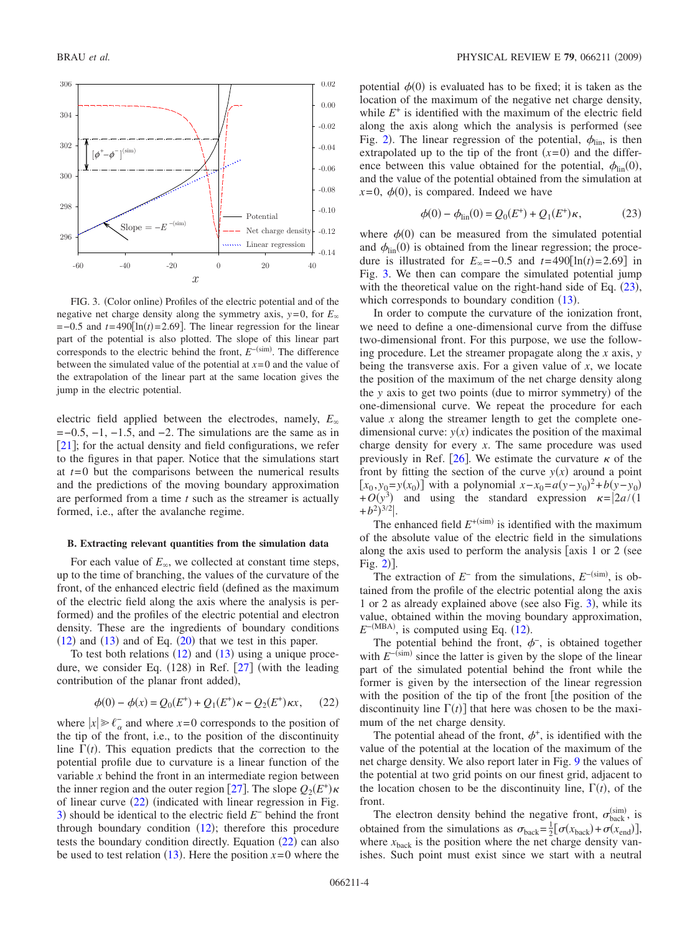<span id="page-3-1"></span>

FIG. 3. (Color online) Profiles of the electric potential and of the negative net charge density along the symmetry axis,  $y=0$ , for  $E_\infty$  $=$  -0.5 and  $t = 490$ [ln( $t$ ) = 2.69]. The linear regression for the linear part of the potential is also plotted. The slope of this linear part corresponds to the electric behind the front,  $E^{-(\text{sim})}$ . The difference between the simulated value of the potential at  $x=0$  and the value of the extrapolation of the linear part at the same location gives the jump in the electric potential.

electric field applied between the electrodes, namely, *E*  $=-0.5, -1, -1.5,$  and  $-2$ . The simulations are the same as in [[21](#page-7-15)]; for the actual density and field configurations, we refer to the figures in that paper. Notice that the simulations start at *t*= 0 but the comparisons between the numerical results and the predictions of the moving boundary approximation are performed from a time *t* such as the streamer is actually formed, i.e., after the avalanche regime.

## **B. Extracting relevant quantities from the simulation data**

<span id="page-3-3"></span>For each value of  $E_{\infty}$ , we collected at constant time steps, up to the time of branching, the values of the curvature of the front, of the enhanced electric field (defined as the maximum of the electric field along the axis where the analysis is performed) and the profiles of the electric potential and electron density. These are the ingredients of boundary conditions  $(12)$  $(12)$  $(12)$  and  $(13)$  $(13)$  $(13)$  and of Eq.  $(20)$  $(20)$  $(20)$  that we test in this paper.

To test both relations  $(12)$  $(12)$  $(12)$  and  $(13)$  $(13)$  $(13)$  using a unique procedure, we consider Eq.  $(128)$  in Ref.  $[27]$  $[27]$  $[27]$  (with the leading contribution of the planar front added),

$$
\phi(0) - \phi(x) = Q_0(E^+) + Q_1(E^+) \kappa - Q_2(E^+) \kappa x, \qquad (22)
$$

<span id="page-3-0"></span>where  $|x| \geq \ell_{\alpha}$  and where *x*=0 corresponds to the position of the tip of the front, i.e., to the position of the discontinuity line  $\Gamma(t)$ . This equation predicts that the correction to the potential profile due to curvature is a linear function of the variable *x* behind the front in an intermediate region between the inner region and the outer region [[27](#page-8-5)]. The slope  $Q_2(E^+) \kappa$ of linear curve  $(22)$  $(22)$  $(22)$  (indicated with linear regression in Fig. [3](#page-3-1)) should be identical to the electric field *E*<sup>−</sup> behind the front through boundary condition  $(12)$  $(12)$  $(12)$ ; therefore this procedure tests the boundary condition directly. Equation  $(22)$  $(22)$  $(22)$  can also be used to test relation  $(13)$  $(13)$  $(13)$ . Here the position  $x=0$  where the

potential  $\phi(0)$  is evaluated has to be fixed; it is taken as the location of the maximum of the negative net charge density, while  $E^+$  is identified with the maximum of the electric field along the axis along which the analysis is performed (see Fig. [2](#page-2-2)). The linear regression of the potential,  $\phi_{lin}$ , is then extrapolated up to the tip of the front  $(x=0)$  and the difference between this value obtained for the potential,  $\phi_{lin}(0)$ , and the value of the potential obtained from the simulation at  $x=0, \phi(0)$ , is compared. Indeed we have

$$
\phi(0) - \phi_{\text{lin}}(0) = Q_0(E^+) + Q_1(E^+) \kappa, \tag{23}
$$

<span id="page-3-2"></span>where  $\phi(0)$  can be measured from the simulated potential and  $\phi_{\text{lin}}(0)$  is obtained from the linear regression; the procedure is illustrated for  $E_{\infty} = -0.5$  and  $t = 490 \left[ \ln(t) = 2.69 \right]$  in Fig. [3.](#page-3-1) We then can compare the simulated potential jump with the theoretical value on the right-hand side of Eq.  $(23)$  $(23)$  $(23)$ , which corresponds to boundary condition  $(13)$  $(13)$  $(13)$ .

In order to compute the curvature of the ionization front, we need to define a one-dimensional curve from the diffuse two-dimensional front. For this purpose, we use the following procedure. Let the streamer propagate along the *x* axis, *y* being the transverse axis. For a given value of *x*, we locate the position of the maximum of the net charge density along the *y* axis to get two points (due to mirror symmetry) of the one-dimensional curve. We repeat the procedure for each value  $x$  along the streamer length to get the complete onedimensional curve:  $y(x)$  indicates the position of the maximal charge density for every *x*. The same procedure was used previously in Ref. [[26](#page-8-4)]. We estimate the curvature  $\kappa$  of the front by fitting the section of the curve  $y(x)$  around a point  $[x_0, y_0 = y(x_0)]$  with a polynomial  $x - x_0 = a(y - y_0)^2 + b(y - y_0)$  $+O(y^3)$  and using the standard expression  $\kappa = |2a/(1$  $+b^2)^{3/2}$ .

The enhanced field  $E^{+(sim)}$  is identified with the maximum of the absolute value of the electric field in the simulations along the axis used to perform the analysis  $[axis 1 or 2 (see$  $Fig. 2].$  $Fig. 2].$  $Fig. 2].$ 

The extraction of  $E^-$  from the simulations,  $E^{-(\text{sim})}$ , is obtained from the profile of the electric potential along the axis 1 or 2 as already explained above (see also Fig. [3](#page-3-1)), while its value, obtained within the moving boundary approximation,  $E^{-\text{(MBA)}}$ , is computed using Eq. ([12](#page-1-4)).

The potential behind the front,  $\phi^-$ , is obtained together with  $E^{-\text{(sim)}}$  since the latter is given by the slope of the linear part of the simulated potential behind the front while the former is given by the intersection of the linear regression with the position of the tip of the front [the position of the discontinuity line  $\Gamma(t)$  that here was chosen to be the maximum of the net charge density.

The potential ahead of the front,  $\phi^+$ , is identified with the value of the potential at the location of the maximum of the net charge density. We also report later in Fig. [9](#page-6-0) the values of the potential at two grid points on our finest grid, adjacent to the location chosen to be the discontinuity line,  $\Gamma(t)$ , of the front.

The electron density behind the negative front,  $\sigma_{\text{back}}^{(\text{sim})}$ , is obtained from the simulations as  $\sigma_{\text{back}} = \frac{1}{2} [\sigma(x_{\text{back}}) + \sigma(x_{\text{end}})],$ where  $x<sub>back</sub>$  is the position where the net charge density vanishes. Such point must exist since we start with a neutral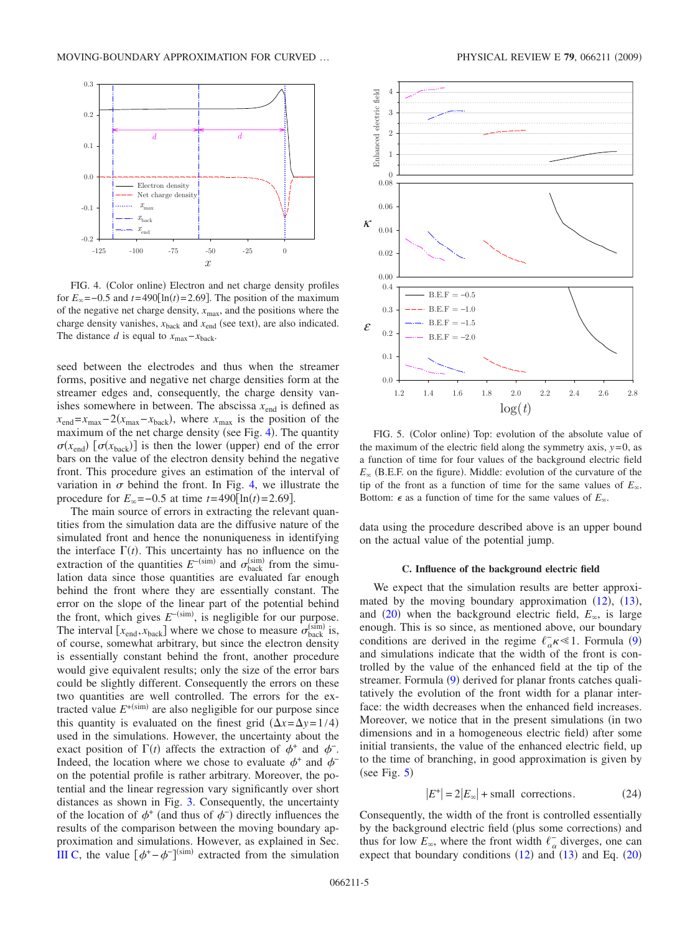<span id="page-4-0"></span>

FIG. 4. (Color online) Electron and net charge density profiles for  $E_\infty$  = -0.5 and *t*=490[ln(*t*) = 2.69]. The position of the maximum of the negative net charge density,  $x_{\text{max}}$ , and the positions where the charge density vanishes,  $x_{\text{back}}$  and  $x_{\text{end}}$  (see text), are also indicated. The distance *d* is equal to  $x_{\text{max}} - x_{\text{back}}$ .

seed between the electrodes and thus when the streamer forms, positive and negative net charge densities form at the streamer edges and, consequently, the charge density vanishes somewhere in between. The abscissa  $x_{end}$  is defined as  $x_{\text{end}} = x_{\text{max}} - 2(x_{\text{max}} - x_{\text{back}})$ , where  $x_{\text{max}}$  is the position of the maximum of the net charge density (see Fig. [4](#page-4-0)). The quantity  $\sigma(x_{\text{end}})$  [ $\sigma(x_{\text{back}})$ ] is then the lower (upper) end of the error bars on the value of the electron density behind the negative front. This procedure gives an estimation of the interval of variation in  $\sigma$  behind the front. In Fig. [4,](#page-4-0) we illustrate the procedure for  $E_{\infty} = -0.5$  at time  $t = 490 \text{[ln}(t) = 2.69 \text{]}$ .

The main source of errors in extracting the relevant quantities from the simulation data are the diffusive nature of the simulated front and hence the nonuniqueness in identifying the interface  $\Gamma(t)$ . This uncertainty has no influence on the extraction of the quantities  $E^{-\text{(sim)}}$  and  $\sigma_{\text{back}}^{\text{(sim)}}$  from the simulation data since those quantities are evaluated far enough behind the front where they are essentially constant. The error on the slope of the linear part of the potential behind the front, which gives  $E^{-(\text{sim})}$ , is negligible for our purpose. The interval  $[x_{\text{end}}^{\text{max}}$ ,  $x_{\text{back}}^{\text{back}}$  where we chose to measure  $\sigma_{\text{back}}^{\text{(sim)}}$  is, of course, somewhat arbitrary, but since the electron density is essentially constant behind the front, another procedure would give equivalent results; only the size of the error bars could be slightly different. Consequently the errors on these two quantities are well controlled. The errors for the extracted value  $E^{+(\text{sim})}$  are also negligible for our purpose since this quantity is evaluated on the finest grid  $(\Delta x = \Delta y = 1/4)$ used in the simulations. However, the uncertainty about the exact position of  $\Gamma(t)$  affects the extraction of  $\phi^+$  and  $\phi^-$ . Indeed, the location where we chose to evaluate  $\phi^+$  and  $\phi^$ on the potential profile is rather arbitrary. Moreover, the potential and the linear regression vary significantly over short distances as shown in Fig. [3.](#page-3-1) Consequently, the uncertainty of the location of  $\phi^+$  (and thus of  $\phi^-$ ) directly influences the results of the comparison between the moving boundary approximation and simulations. However, as explained in Sec. [III C,](#page-5-1) the value  $[\phi^+ - \phi^-]^{(\text{sim})}$  extracted from the simulation

<span id="page-4-1"></span>

FIG. 5. (Color online) Top: evolution of the absolute value of the maximum of the electric field along the symmetry axis,  $y=0$ , as a function of time for four values of the background electric field  $E_{\infty}$  (B.E.F. on the figure). Middle: evolution of the curvature of the tip of the front as a function of time for the same values of  $E_\infty$ . Bottom:  $\epsilon$  as a function of time for the same values of  $E_{\infty}$ .

data using the procedure described above is an upper bound on the actual value of the potential jump.

#### **C. Influence of the background electric field**

We expect that the simulation results are better approximated by the moving boundary approximation  $(12)$  $(12)$  $(12)$ ,  $(13)$  $(13)$  $(13)$ , and ([20](#page-2-0)) when the background electric field,  $E_{\infty}$ , is large enough. This is so since, as mentioned above, our boundary conditions are derived in the regime  $\ell_{\alpha}^- \kappa \ll 1$ . Formula ([9](#page-1-0)) and simulations indicate that the width of the front is controlled by the value of the enhanced field at the tip of the streamer. Formula ([9](#page-1-0)) derived for planar fronts catches qualitatively the evolution of the front width for a planar interface: the width decreases when the enhanced field increases. Moreover, we notice that in the present simulations (in two dimensions and in a homogeneous electric field) after some initial transients, the value of the enhanced electric field, up to the time of branching, in good approximation is given by (see Fig.  $5$ )

$$
|E^+| = 2|E_{\infty}| + \text{small corrections.} \tag{24}
$$

<span id="page-4-2"></span>Consequently, the width of the front is controlled essentially by the background electric field (plus some corrections) and thus for low  $E_{\infty}$ , where the front width  $\ell_{\alpha}^-$  diverges, one can expect that boundary conditions  $(12)$  $(12)$  $(12)$  and  $(13)$  $(13)$  $(13)$  and Eq.  $(20)$  $(20)$  $(20)$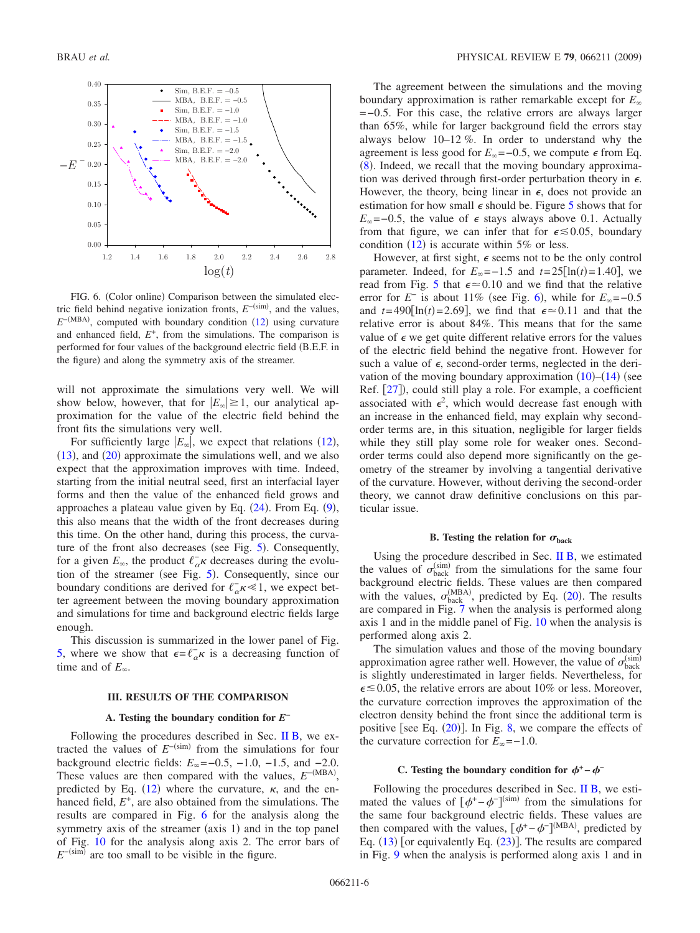<span id="page-5-2"></span>

FIG. 6. (Color online) Comparison between the simulated electric field behind negative ionization fronts,  $E^{-\text{(sim)}}$ , and the values,  $E^{-\text{(MBA)}}$ , computed with boundary condition ([12](#page-1-4)) using curvature and enhanced field,  $E^+$ , from the simulations. The comparison is performed for four values of the background electric field (B.E.F. in the figure) and along the symmetry axis of the streamer.

will not approximate the simulations very well. We will show below, however, that for  $|E_{\infty}| \geq 1$ , our analytical approximation for the value of the electric field behind the front fits the simulations very well.

For sufficiently large  $|E_{\infty}|$ , we expect that relations ([12](#page-1-4)),  $(13)$  $(13)$  $(13)$ , and  $(20)$  $(20)$  $(20)$  approximate the simulations well, and we also expect that the approximation improves with time. Indeed, starting from the initial neutral seed, first an interfacial layer forms and then the value of the enhanced field grows and approaches a plateau value given by Eq.  $(24)$  $(24)$  $(24)$ . From Eq.  $(9)$  $(9)$  $(9)$ , this also means that the width of the front decreases during this time. On the other hand, during this process, the curva-ture of the front also decreases (see Fig. [5](#page-4-1)). Consequently, for a given  $E_{\infty}$ , the product  $\ell_{\alpha}^- \kappa$  decreases during the evolu-tion of the streamer (see Fig. [5](#page-4-1)). Consequently, since our boundary conditions are derived for  $\ell_{\alpha}^- \kappa \ll 1$ , we expect better agreement between the moving boundary approximation and simulations for time and background electric fields large enough.

This discussion is summarized in the lower panel of Fig. [5,](#page-4-1) where we show that  $\epsilon = \ell_{\alpha}^- \kappa$  is a decreasing function of time and of  $E_{\infty}$ .

### **III. RESULTS OF THE COMPARISON**

#### **A. Testing the boundary condition for** *E***<sup>−</sup>**

<span id="page-5-0"></span>Following the procedures described in Sec. [II B,](#page-3-3) we extracted the values of  $E^{-\text{(sim)}}$  from the simulations for four background electric fields:  $E_{\infty}$  = −0.5, −1.0, −1.5, and −2.0. These values are then compared with the values,  $E^{-(MBA)}$ , predicted by Eq. ([12](#page-1-4)) where the curvature,  $\kappa$ , and the enhanced field,  $E^+$ , are also obtained from the simulations. The results are compared in Fig. [6](#page-5-2) for the analysis along the symmetry axis of the streamer (axis 1) and in the top panel of Fig. [10](#page-7-16) for the analysis along axis 2. The error bars of  $E^{-\text{(sim)}}$  are too small to be visible in the figure.

The agreement between the simulations and the moving boundary approximation is rather remarkable except for *E* =−0.5. For this case, the relative errors are always larger than 65%, while for larger background field the errors stay always below 10–12 %. In order to understand why the agreement is less good for  $E_\infty = -0.5$ , we compute  $\epsilon$  from Eq. ([8](#page-1-10)). Indeed, we recall that the moving boundary approximation was derived through first-order perturbation theory in  $\epsilon$ . However, the theory, being linear in  $\epsilon$ , does not provide an estimation for how small  $\epsilon$  should be. Figure [5](#page-4-1) shows that for  $E_{\infty}$ =–0.5, the value of  $\epsilon$  stays always above 0.1. Actually from that figure, we can infer that for  $\epsilon \leq 0.05$ , boundary condition  $(12)$  $(12)$  $(12)$  is accurate within 5% or less.

However, at first sight,  $\epsilon$  seems not to be the only control parameter. Indeed, for  $E_{\infty} = -1.5$  and  $t = 25[\ln(t) = 1.40]$ , we read from Fig. [5](#page-4-1) that  $\epsilon \approx 0.10$  and we find that the relative error for  $E^-$  is about 11% (see Fig. [6](#page-5-2)), while for  $E_{\infty}$ =-0.5 and  $t = 490 \left[ \ln(t) = 2.69 \right]$ , we find that  $\epsilon \approx 0.11$  and that the relative error is about 84%. This means that for the same value of  $\epsilon$  we get quite different relative errors for the values of the electric field behind the negative front. However for such a value of  $\epsilon$ , second-order terms, neglected in the derivation of the moving boundary approximation  $(10)$  $(10)$  $(10)$ – $(14)$  $(14)$  $(14)$  (see Ref. [[27](#page-8-5)]), could still play a role. For example, a coefficient associated with  $\epsilon^2$ , which would decrease fast enough with an increase in the enhanced field, may explain why secondorder terms are, in this situation, negligible for larger fields while they still play some role for weaker ones. Secondorder terms could also depend more significantly on the geometry of the streamer by involving a tangential derivative of the curvature. However, without deriving the second-order theory, we cannot draw definitive conclusions on this particular issue.

### **B.** Testing the relation for  $\sigma_{\text{back}}$

Using the procedure described in Sec. [II B,](#page-3-3) we estimated the values of  $\sigma_{\text{back}}^{(\text{sim})}$  from the simulations for the same four background electric fields. These values are then compared with the values,  $\sigma_{\text{back}}^{(\text{MBA})}$ , predicted by Eq. ([20](#page-2-0)). The results are compared in Fig. [7](#page-6-1) when the analysis is performed along axis 1 and in the middle panel of Fig. [10](#page-7-16) when the analysis is performed along axis 2.

The simulation values and those of the moving boundary approximation agree rather well. However, the value of  $\sigma_{\text{back}}^{\text{(sim)}}$ is slightly underestimated in larger fields. Nevertheless, for  $\epsilon \le 0.05$ , the relative errors are about 10% or less. Moreover, the curvature correction improves the approximation of the electron density behind the front since the additional term is positive [see Eq.  $(20)$  $(20)$  $(20)$ ]. In Fig. [8,](#page-6-2) we compare the effects of the curvature correction for  $E_\infty = -1.0$ .

### **C.** Testing the boundary condition for  $\phi^+ - \phi^-$

<span id="page-5-1"></span>Following the procedures described in Sec. [II B,](#page-3-3) we estimated the values of  $[\phi^+ - \phi^-]^{(\text{sim})}$  from the simulations for the same four background electric fields. These values are then compared with the values,  $[\phi^+ - \phi^-]^{(MBA)}$ , predicted by Eq.  $(13)$  $(13)$  $(13)$  [or equivalently Eq.  $(23)$  $(23)$  $(23)$ ]. The results are compared in Fig. [9](#page-6-0) when the analysis is performed along axis 1 and in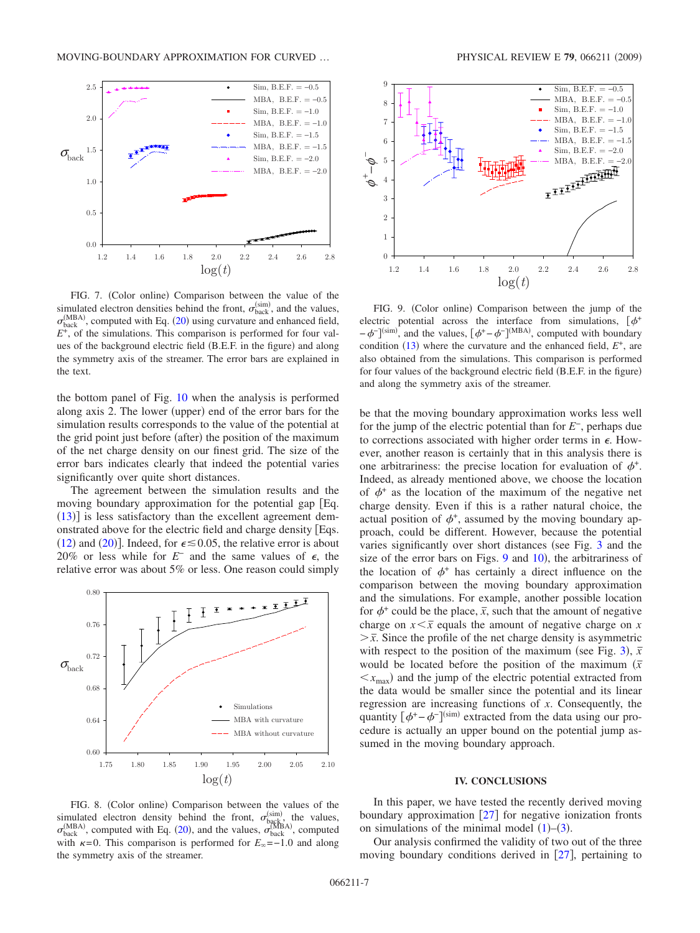<span id="page-6-1"></span>

FIG. 7. (Color online) Comparison between the value of the simulated electron densities behind the front,  $\sigma_{\text{back}}^{(\text{sim})}$ , and the values,  $\sigma_{\text{back}}^{(\text{MBA})}$ , computed with Eq. ([20](#page-2-0)) using curvature and enhanced field, *E*+, of the simulations. This comparison is performed for four values of the background electric field (B.E.F. in the figure) and along the symmetry axis of the streamer. The error bars are explained in the text.

the bottom panel of Fig. [10](#page-7-16) when the analysis is performed along axis 2. The lower (upper) end of the error bars for the simulation results corresponds to the value of the potential at the grid point just before (after) the position of the maximum of the net charge density on our finest grid. The size of the error bars indicates clearly that indeed the potential varies significantly over quite short distances.

The agreement between the simulation results and the moving boundary approximation for the potential gap Eq.  $(13)$  $(13)$  $(13)$ ] is less satisfactory than the excellent agreement demonstrated above for the electric field and charge density Eqs. ([12](#page-1-4)) and ([20](#page-2-0))]. Indeed, for  $\epsilon \le 0.05$ , the relative error is about 20% or less while for  $E^-$  and the same values of  $\epsilon$ , the relative error was about 5% or less. One reason could simply

<span id="page-6-2"></span>

FIG. 8. (Color online) Comparison between the values of the simulated electron density behind the front,  $\sigma_{\text{bg}c}^{(\text{sim})}$ , the values,  $\sigma_{\text{back}}^{(\text{MBA})}$ , computed with Eq. ([20](#page-2-0)), and the values,  $\sigma_{\text{back}}^{(\text{MBA})}$ , computed with  $\kappa = 0$ . This comparison is performed for  $E_{\infty} = -1.0$  and along the symmetry axis of the streamer.

<span id="page-6-0"></span>

FIG. 9. (Color online) Comparison between the jump of the electric potential across the interface from simulations,  $\phi^+$  $-\phi^{-}$ ]<sup>(sim)</sup>, and the values,  $[\phi^+ - \phi^-]^{(MBA)}$ , computed with boundary condition  $(13)$  $(13)$  $(13)$  where the curvature and the enhanced field,  $E^+$ , are also obtained from the simulations. This comparison is performed for four values of the background electric field (B.E.F. in the figure) and along the symmetry axis of the streamer.

be that the moving boundary approximation works less well for the jump of the electric potential than for *E*−, perhaps due to corrections associated with higher order terms in  $\epsilon$ . However, another reason is certainly that in this analysis there is one arbitrariness: the precise location for evaluation of  $\phi^+$ . Indeed, as already mentioned above, we choose the location of  $\phi^+$  as the location of the maximum of the negative net charge density. Even if this is a rather natural choice, the actual position of  $\phi^+$ , assumed by the moving boundary approach, could be different. However, because the potential varies significantly over short distances (see Fig.  $3$  and the size of the error bars on Figs.  $9$  and  $10$ ), the arbitrariness of the location of  $\phi^+$  has certainly a direct influence on the comparison between the moving boundary approximation and the simulations. For example, another possible location for  $\phi^+$  could be the place,  $\bar{x}$ , such that the amount of negative charge on  $x \leq \overline{x}$  equals the amount of negative charge on *x*  $\frac{\partial \overline{x}}{\partial x}$ . Since the profile of the net charge density is asymmetric with respect to the position of the maximum (see Fig. [3](#page-3-1)),  $\bar{x}$ would be located before the position of the maximum  $(\bar{x})$  $\langle x_{\text{max}} \rangle$  and the jump of the electric potential extracted from the data would be smaller since the potential and its linear regression are increasing functions of *x*. Consequently, the quantity  $[\phi^+ - \phi^-]^{(\text{sim})}$  extracted from the data using our procedure is actually an upper bound on the potential jump assumed in the moving boundary approach.

### **IV. CONCLUSIONS**

In this paper, we have tested the recently derived moving boundary approximation  $\lceil 27 \rceil$  $\lceil 27 \rceil$  $\lceil 27 \rceil$  for negative ionization fronts on simulations of the minimal model  $(1)$  $(1)$  $(1)$ – $(3)$  $(3)$  $(3)$ .

Our analysis confirmed the validity of two out of the three moving boundary conditions derived in  $[27]$  $[27]$  $[27]$ , pertaining to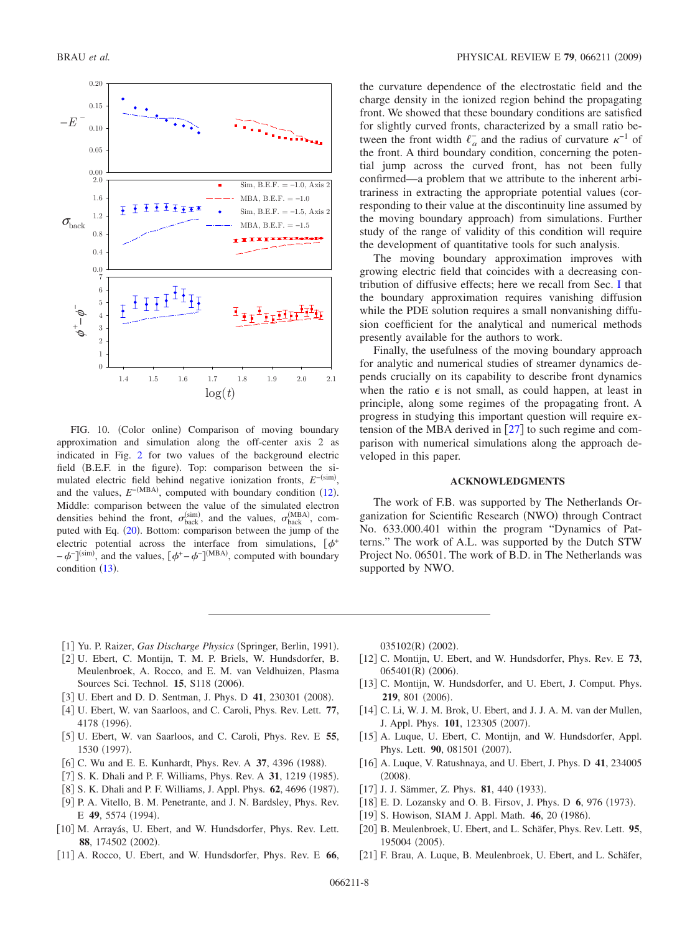<span id="page-7-16"></span>

FIG. 10. (Color online) Comparison of moving boundary approximation and simulation along the off-center axis 2 as indicated in Fig. [2](#page-2-2) for two values of the background electric field (B.E.F. in the figure). Top: comparison between the simulated electric field behind negative ionization fronts,  $E^{-\text{(sim)}}$ , and the values,  $E^{-(MBA)}$ , computed with boundary condition ([12](#page-1-4)). Middle: comparison between the value of the simulated electron densities behind the front,  $\sigma_{\text{back}}^{(\text{sim})}$ , and the values,  $\sigma_{\text{back}}^{(\text{MBA})}$ , com-puted with Eq. ([20](#page-2-0)). Bottom: comparison between the jump of the electric potential across the interface from simulations,  $[\phi^+$  $-\phi^{-}$ ]<sup>(sim)</sup>, and the values,  $[\phi^+ - \phi^-]^{(MBA)}$ , computed with boundary condition  $(13)$  $(13)$  $(13)$ .

the curvature dependence of the electrostatic field and the charge density in the ionized region behind the propagating front. We showed that these boundary conditions are satisfied for slightly curved fronts, characterized by a small ratio between the front width  $\ell_{\alpha}^{-}$  and the radius of curvature  $\kappa^{-1}$  of the front. A third boundary condition, concerning the potential jump across the curved front, has not been fully confirmed—a problem that we attribute to the inherent arbitrariness in extracting the appropriate potential values (corresponding to their value at the discontinuity line assumed by the moving boundary approach) from simulations. Further study of the range of validity of this condition will require the development of quantitative tools for such analysis.

The moving boundary approximation improves with growing electric field that coincides with a decreasing contribution of diffusive effects; here we recall from Sec. [I](#page-0-5) that the boundary approximation requires vanishing diffusion while the PDE solution requires a small nonvanishing diffusion coefficient for the analytical and numerical methods presently available for the authors to work.

Finally, the usefulness of the moving boundary approach for analytic and numerical studies of streamer dynamics depends crucially on its capability to describe front dynamics when the ratio  $\epsilon$  is not small, as could happen, at least in principle, along some regimes of the propagating front. A progress in studying this important question will require extension of the MBA derived in  $[27]$  $[27]$  $[27]$  to such regime and comparison with numerical simulations along the approach developed in this paper.

#### **ACKNOWLEDGMENTS**

The work of F.B. was supported by The Netherlands Organization for Scientific Research (NWO) through Contract No. 633.000.401 within the program "Dynamics of Patterns." The work of A.L. was supported by the Dutch STW Project No. 06501. The work of B.D. in The Netherlands was supported by NWO.

- [1] Yu. P. Raizer, Gas Discharge Physics (Springer, Berlin, 1991).
- <span id="page-7-4"></span><span id="page-7-0"></span>2 U. Ebert, C. Montijn, T. M. P. Briels, W. Hundsdorfer, B. Meulenbroek, A. Rocco, and E. M. van Veldhuizen, Plasma Sources Sci. Technol. **15**, S118 (2006).
- [3] U. Ebert and D. D. Sentman, J. Phys. D 41, 230301 (2008).
- <span id="page-7-1"></span>4 U. Ebert, W. van Saarloos, and C. Caroli, Phys. Rev. Lett. **77**, 4178 (1996).
- <span id="page-7-2"></span>5 U. Ebert, W. van Saarloos, and C. Caroli, Phys. Rev. E **55**, 1530 (1997).
- <span id="page-7-5"></span>[6] C. Wu and E. E. Kunhardt, Phys. Rev. A 37, 4396 (1988).
- <span id="page-7-8"></span>[7] S. K. Dhali and P. F. Williams, Phys. Rev. A 31, 1219 (1985).
- [8] S. K. Dhali and P. F. Williams, J. Appl. Phys. **62**, 4696 (1987). [9] P. A. Vitello, B. M. Penetrante, and J. N. Bardsley, Phys. Rev.
- E 49, 5574 (1994).
- [10] M. Arrayás, U. Ebert, and W. Hundsdorfer, Phys. Rev. Lett. 88, 174502 (2002).
- [11] A. Rocco, U. Ebert, and W. Hundsdorfer, Phys. Rev. E 66,

035102(R) (2002).

- 12 C. Montijn, U. Ebert, and W. Hundsdorfer, Phys. Rev. E **73**, 065401(R) (2006).
- <span id="page-7-10"></span>[13] C. Montijn, W. Hundsdorfer, and U. Ebert, J. Comput. Phys. **219**, 801 (2006).
- <span id="page-7-9"></span>[14] C. Li, W. J. M. Brok, U. Ebert, and J. J. A. M. van der Mullen, J. Appl. Phys. 101, 123305 (2007).
- <span id="page-7-3"></span>[15] A. Luque, U. Ebert, C. Montijn, and W. Hundsdorfer, Appl. Phys. Lett. 90, 081501 (2007).
- <span id="page-7-6"></span>[16] A. Luque, V. Ratushnaya, and U. Ebert, J. Phys. D 41, 234005  $(2008).$
- <span id="page-7-7"></span>[17] J. J. Sämmer, Z. Phys. **81**, 440 (1933).
- <span id="page-7-11"></span>[18] E. D. Lozansky and O. B. Firsov, J. Phys. D 6, 976 (1973).
- <span id="page-7-12"></span>[19] S. Howison, SIAM J. Appl. Math. 46, 20 (1986).
- <span id="page-7-13"></span>20 B. Meulenbroek, U. Ebert, and L. Schäfer, Phys. Rev. Lett. **95**, 195004 (2005).
- <span id="page-7-15"></span><span id="page-7-14"></span>21 F. Brau, A. Luque, B. Meulenbroek, U. Ebert, and L. Schäfer,